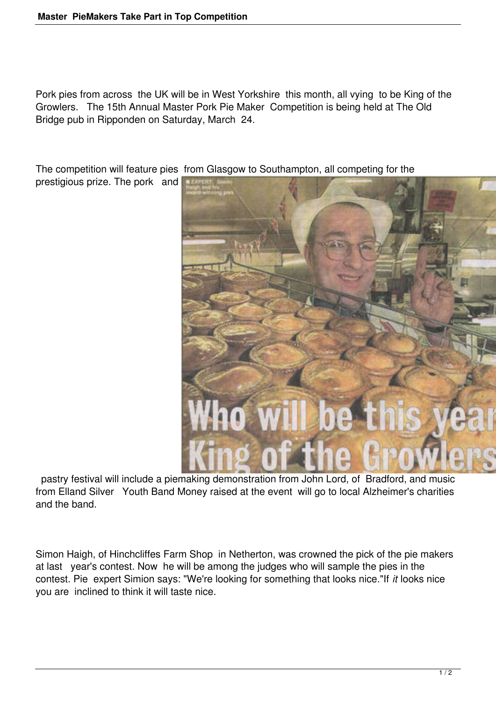Pork pies from across the UK will be in West Yorkshire this month, all vying to be King of the Growlers. The 15th Annual Master Pork Pie Maker Competition is being held at The Old Bridge pub in Ripponden on Saturday, March 24.

The competition will feature pies from Glasgow to Southampton, all competing for the

prestigious prize. The pork and



 pastry festival will include a piemaking demonstration from John Lord, of Bradford, and music from Elland Silver Youth Band Money raised at the event will go to local Alzheimer's charities and the band.

Simon Haigh, of Hinchcliffes Farm Shop in Netherton, was crowned the pick of the pie makers at last year's contest. Now he will be among the judges who will sample the pies in the contest. Pie expert Simion says: "We're looking for something that looks nice."If *it* looks nice you are inclined to think it will taste nice.